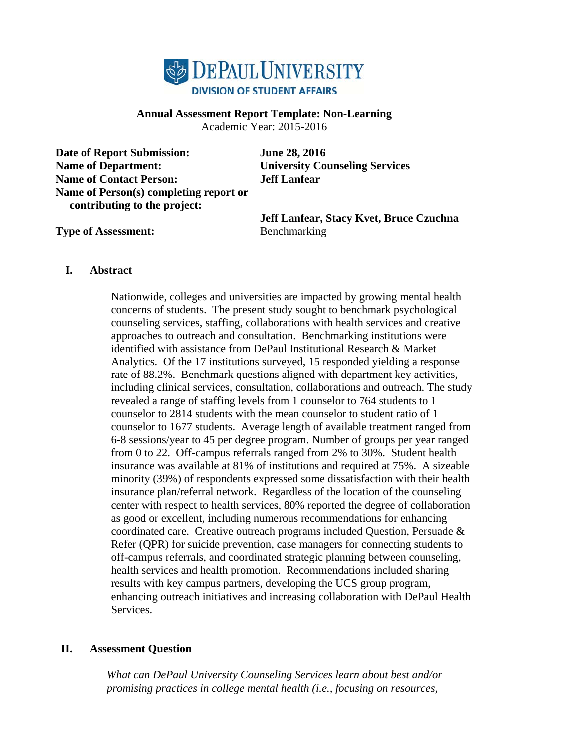

## **Annual Assessment Report Template: Non-Learning**

Academic Year: 2015-2016

**Date of Report Submission: June 28, 2016 Name of Department: University Counseling Services Name of Contact Person: Jeff Lanfear Name of Person(s) completing report or contributing to the project:** 

**Jeff Lanfear, Stacy Kvet, Bruce Czuchna** 

**Type of Assessment:** Benchmarking

### **I. Abstract**

Nationwide, colleges and universities are impacted by growing mental health concerns of students. The present study sought to benchmark psychological counseling services, staffing, collaborations with health services and creative approaches to outreach and consultation. Benchmarking institutions were identified with assistance from DePaul Institutional Research & Market Analytics. Of the 17 institutions surveyed, 15 responded yielding a response rate of 88.2%. Benchmark questions aligned with department key activities, including clinical services, consultation, collaborations and outreach. The study revealed a range of staffing levels from 1 counselor to 764 students to 1 counselor to 2814 students with the mean counselor to student ratio of 1 counselor to 1677 students. Average length of available treatment ranged from 6-8 sessions/year to 45 per degree program. Number of groups per year ranged from 0 to 22. Off-campus referrals ranged from 2% to 30%. Student health insurance was available at 81% of institutions and required at 75%. A sizeable minority (39%) of respondents expressed some dissatisfaction with their health insurance plan/referral network. Regardless of the location of the counseling center with respect to health services, 80% reported the degree of collaboration as good or excellent, including numerous recommendations for enhancing coordinated care. Creative outreach programs included Question, Persuade & Refer (QPR) for suicide prevention, case managers for connecting students to off-campus referrals, and coordinated strategic planning between counseling, health services and health promotion. Recommendations included sharing results with key campus partners, developing the UCS group program, enhancing outreach initiatives and increasing collaboration with DePaul Health Services.

## **II. Assessment Question**

*What can DePaul University Counseling Services learn about best and/or promising practices in college mental health (i.e., focusing on resources,*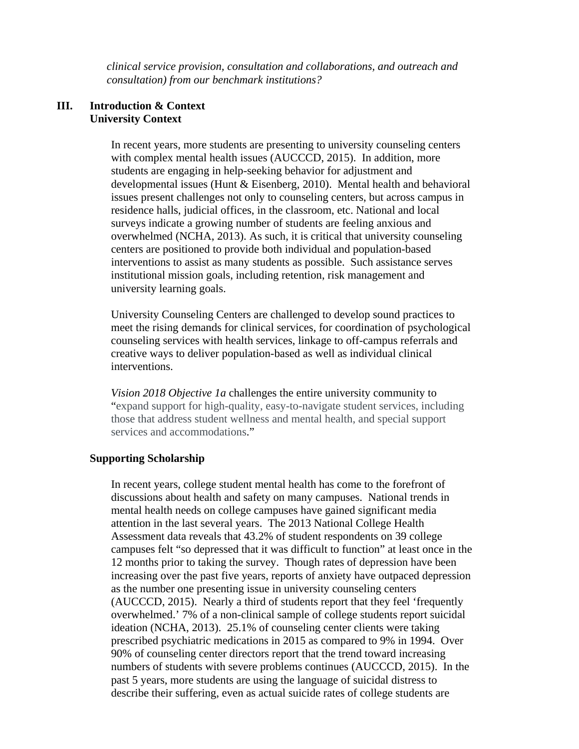*clinical service provision, consultation and collaborations, and outreach and consultation) from our benchmark institutions?* 

### **III. Introduction & Context University Context**

In recent years, more students are presenting to university counseling centers with complex mental health issues (AUCCCD, 2015). In addition, more students are engaging in help-seeking behavior for adjustment and developmental issues (Hunt & Eisenberg, 2010). Mental health and behavioral issues present challenges not only to counseling centers, but across campus in residence halls, judicial offices, in the classroom, etc. National and local surveys indicate a growing number of students are feeling anxious and overwhelmed (NCHA, 2013). As such, it is critical that university counseling centers are positioned to provide both individual and population-based interventions to assist as many students as possible. Such assistance serves institutional mission goals, including retention, risk management and university learning goals.

University Counseling Centers are challenged to develop sound practices to meet the rising demands for clinical services, for coordination of psychological counseling services with health services, linkage to off-campus referrals and creative ways to deliver population-based as well as individual clinical interventions.

*Vision 2018 Objective 1a* challenges the entire university community to "expand support for high-quality, easy-to-navigate student services, including those that address student wellness and mental health, and special support services and accommodations."

## **Supporting Scholarship**

In recent years, college student mental health has come to the forefront of discussions about health and safety on many campuses. National trends in mental health needs on college campuses have gained significant media attention in the last several years. The 2013 National College Health Assessment data reveals that 43.2% of student respondents on 39 college campuses felt "so depressed that it was difficult to function" at least once in the 12 months prior to taking the survey. Though rates of depression have been increasing over the past five years, reports of anxiety have outpaced depression as the number one presenting issue in university counseling centers (AUCCCD, 2015). Nearly a third of students report that they feel 'frequently overwhelmed.' 7% of a non-clinical sample of college students report suicidal ideation (NCHA, 2013). 25.1% of counseling center clients were taking prescribed psychiatric medications in 2015 as compared to 9% in 1994. Over 90% of counseling center directors report that the trend toward increasing numbers of students with severe problems continues (AUCCCD, 2015). In the past 5 years, more students are using the language of suicidal distress to describe their suffering, even as actual suicide rates of college students are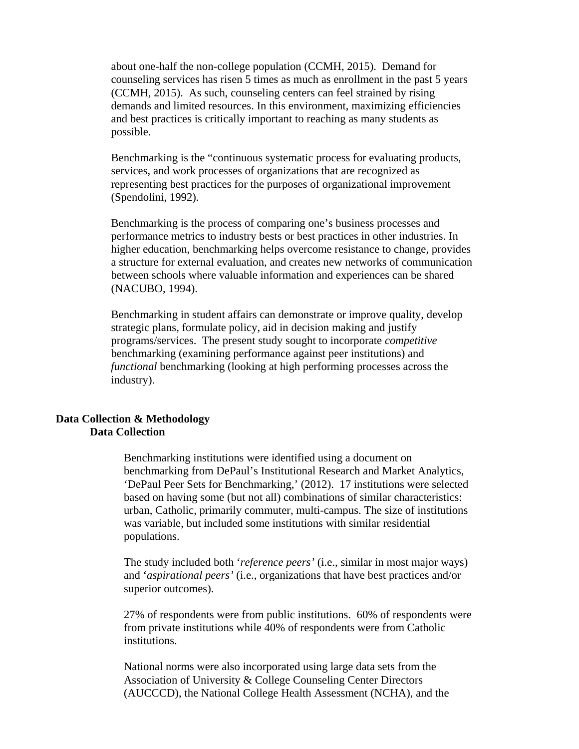about one-half the non-college population (CCMH, 2015). Demand for counseling services has risen 5 times as much as enrollment in the past 5 years (CCMH, 2015). As such, counseling centers can feel strained by rising demands and limited resources. In this environment, maximizing efficiencies and best practices is critically important to reaching as many students as possible.

Benchmarking is the "continuous systematic process for evaluating products, services, and work processes of organizations that are recognized as representing best practices for the purposes of organizational improvement (Spendolini, 1992).

Benchmarking is the process of comparing one's business processes and performance metrics to industry bests or best practices in other industries. In higher education, benchmarking helps overcome resistance to change, provides a structure for external evaluation, and creates new networks of communication between schools where valuable information and experiences can be shared (NACUBO, 1994).

Benchmarking in student affairs can demonstrate or improve quality, develop strategic plans, formulate policy, aid in decision making and justify programs/services. The present study sought to incorporate *competitive* benchmarking (examining performance against peer institutions) and *functional* benchmarking (looking at high performing processes across the industry).

#### **Data Collection & Methodology Data Collection**

Benchmarking institutions were identified using a document on benchmarking from DePaul's Institutional Research and Market Analytics, 'DePaul Peer Sets for Benchmarking,' (2012). 17 institutions were selected based on having some (but not all) combinations of similar characteristics: urban, Catholic, primarily commuter, multi-campus. The size of institutions was variable, but included some institutions with similar residential populations.

The study included both '*reference peers'* (i.e., similar in most major ways) and '*aspirational peers'* (i.e., organizations that have best practices and/or superior outcomes).

27% of respondents were from public institutions. 60% of respondents were from private institutions while 40% of respondents were from Catholic institutions.

National norms were also incorporated using large data sets from the Association of University & College Counseling Center Directors (AUCCCD), the National College Health Assessment (NCHA), and the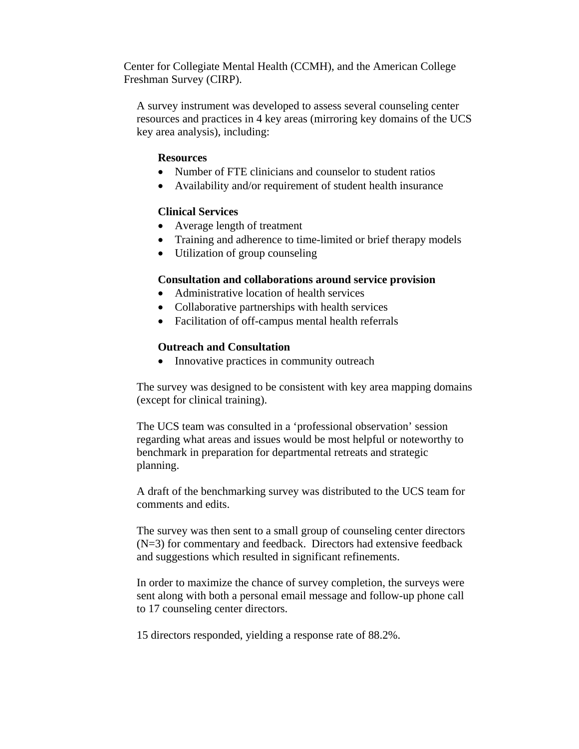Center for Collegiate Mental Health (CCMH), and the American College Freshman Survey (CIRP).

A survey instrument was developed to assess several counseling center resources and practices in 4 key areas (mirroring key domains of the UCS key area analysis), including:

#### **Resources**

- Number of FTE clinicians and counselor to student ratios
- Availability and/or requirement of student health insurance

#### **Clinical Services**

- Average length of treatment
- Training and adherence to time-limited or brief therapy models
- Utilization of group counseling

#### **Consultation and collaborations around service provision**

- Administrative location of health services
- Collaborative partnerships with health services
- Facilitation of off-campus mental health referrals

#### **Outreach and Consultation**

• Innovative practices in community outreach

The survey was designed to be consistent with key area mapping domains (except for clinical training).

The UCS team was consulted in a 'professional observation' session regarding what areas and issues would be most helpful or noteworthy to benchmark in preparation for departmental retreats and strategic planning.

A draft of the benchmarking survey was distributed to the UCS team for comments and edits.

The survey was then sent to a small group of counseling center directors (N=3) for commentary and feedback. Directors had extensive feedback and suggestions which resulted in significant refinements.

In order to maximize the chance of survey completion, the surveys were sent along with both a personal email message and follow-up phone call to 17 counseling center directors.

15 directors responded, yielding a response rate of 88.2%.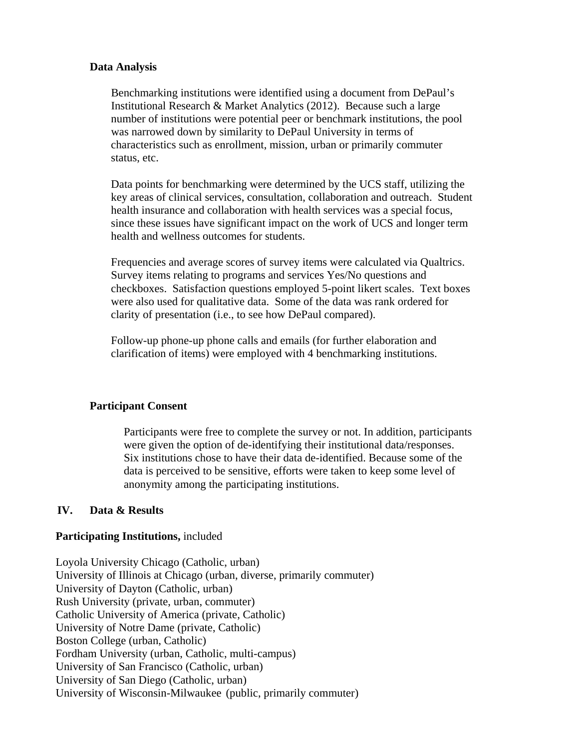#### **Data Analysis**

Benchmarking institutions were identified using a document from DePaul's Institutional Research & Market Analytics (2012). Because such a large number of institutions were potential peer or benchmark institutions, the pool was narrowed down by similarity to DePaul University in terms of characteristics such as enrollment, mission, urban or primarily commuter status, etc.

Data points for benchmarking were determined by the UCS staff, utilizing the key areas of clinical services, consultation, collaboration and outreach. Student health insurance and collaboration with health services was a special focus, since these issues have significant impact on the work of UCS and longer term health and wellness outcomes for students.

Frequencies and average scores of survey items were calculated via Qualtrics. Survey items relating to programs and services Yes/No questions and checkboxes. Satisfaction questions employed 5-point likert scales. Text boxes were also used for qualitative data. Some of the data was rank ordered for clarity of presentation (i.e., to see how DePaul compared).

Follow-up phone-up phone calls and emails (for further elaboration and clarification of items) were employed with 4 benchmarking institutions.

### **Participant Consent**

Participants were free to complete the survey or not. In addition, participants were given the option of de-identifying their institutional data/responses. Six institutions chose to have their data de-identified. Because some of the data is perceived to be sensitive, efforts were taken to keep some level of anonymity among the participating institutions.

### **IV. Data & Results**

#### **Participating Institutions,** included

Loyola University Chicago (Catholic, urban) University of Illinois at Chicago (urban, diverse, primarily commuter) University of Dayton (Catholic, urban) Rush University (private, urban, commuter) Catholic University of America (private, Catholic) University of Notre Dame (private, Catholic) Boston College (urban, Catholic) Fordham University (urban, Catholic, multi-campus) University of San Francisco (Catholic, urban) University of San Diego (Catholic, urban) University of Wisconsin-Milwaukee (public, primarily commuter)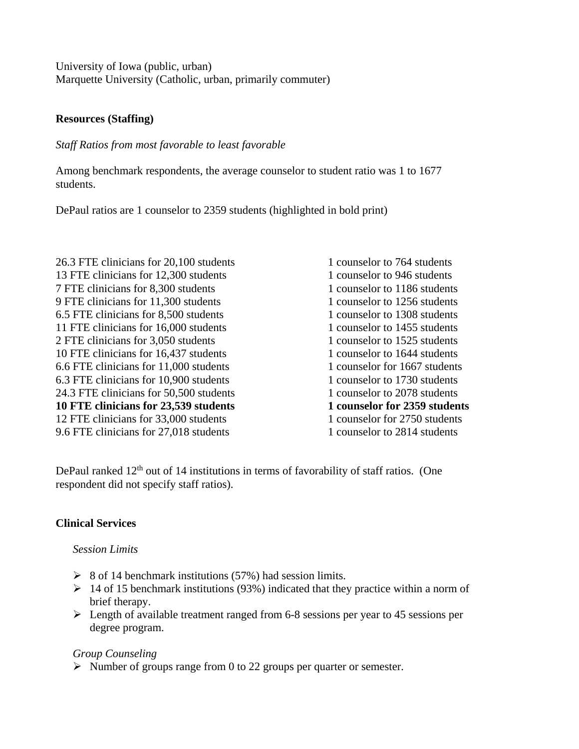University of Iowa (public, urban) Marquette University (Catholic, urban, primarily commuter)

### **Resources (Staffing)**

*Staff Ratios from most favorable to least favorable* 

Among benchmark respondents, the average counselor to student ratio was 1 to 1677 students.

DePaul ratios are 1 counselor to 2359 students (highlighted in bold print)

26.3 FTE clinicians for 20,100 students 1 counselor to 764 students 13 FTE clinicians for 12,300 students 1 counselor to 946 students 7 FTE clinicians for 8,300 students 1 counselor to 1186 students 9 FTE clinicians for 11,300 students 1 counselor to 1256 students 6.5 FTE clinicians for 8,500 students 1 counselor to 1308 students 11 FTE clinicians for 16,000 students 1 counselor to 1455 students 2 FTE clinicians for 3,050 students 1 counselor to 1525 students 10 FTE clinicians for 16,437 students 1 counselor to 1644 students 6.6 FTE clinicians for 11,000 students 1 counselor for 1667 students 6.3 FTE clinicians for 10,900 students 1 counselor to 1730 students 24.3 FTE clinicians for 50,500 students 1 counselor to 2078 students **10 FTE clinicians for 23,539 students 1 counselor for 2359 students**  12 FTE clinicians for 33,000 students 1 counselor for 2750 students 9.6 FTE clinicians for 27,018 students 1 counselor to 2814 students

DePaul ranked  $12<sup>th</sup>$  out of 14 institutions in terms of favorability of staff ratios. (One respondent did not specify staff ratios).

## **Clinical Services**

### *Session Limits*

- $\geq$  8 of 14 benchmark institutions (57%) had session limits.
- $\geq 14$  of 15 benchmark institutions (93%) indicated that they practice within a norm of brief therapy.
- $\geq$  Length of available treatment ranged from 6-8 sessions per year to 45 sessions per degree program.

### *Group Counseling*

 $\triangleright$  Number of groups range from 0 to 22 groups per quarter or semester.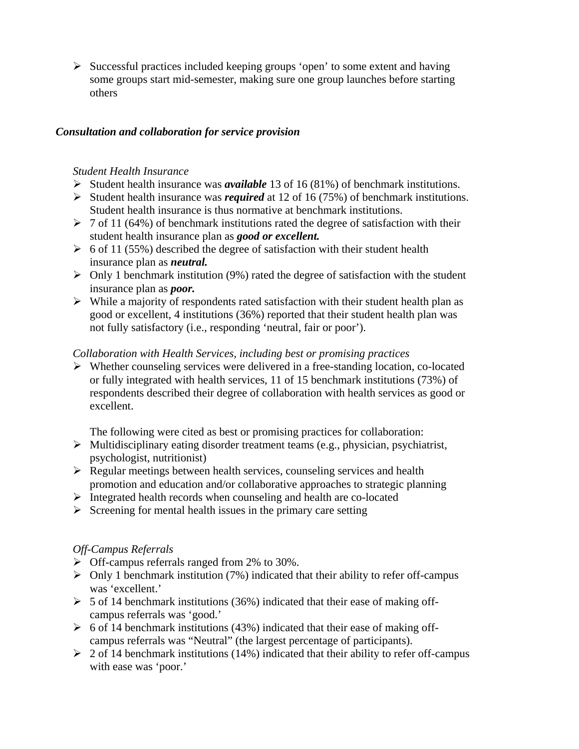$\triangleright$  Successful practices included keeping groups 'open' to some extent and having some groups start mid-semester, making sure one group launches before starting others

### *Consultation and collaboration for service provision*

### *Student Health Insurance*

- Student health insurance was *available* 13 of 16 (81%) of benchmark institutions.
- Student health insurance was *required* at 12 of 16 (75%) of benchmark institutions. Student health insurance is thus normative at benchmark institutions.
- $\geq 7$  of 11 (64%) of benchmark institutions rated the degree of satisfaction with their student health insurance plan as *good or excellent.*
- $\geq 6$  of 11 (55%) described the degree of satisfaction with their student health insurance plan as *neutral.*
- $\triangleright$  Only 1 benchmark institution (9%) rated the degree of satisfaction with the student insurance plan as *poor.*
- $\triangleright$  While a majority of respondents rated satisfaction with their student health plan as good or excellent, 4 institutions (36%) reported that their student health plan was not fully satisfactory (i.e., responding 'neutral, fair or poor').

### *Collaboration with Health Services, including best or promising practices*

 $\triangleright$  Whether counseling services were delivered in a free-standing location, co-located or fully integrated with health services, 11 of 15 benchmark institutions (73%) of respondents described their degree of collaboration with health services as good or excellent.

The following were cited as best or promising practices for collaboration:

- $\triangleright$  Multidisciplinary eating disorder treatment teams (e.g., physician, psychiatrist, psychologist, nutritionist)
- $\triangleright$  Regular meetings between health services, counseling services and health promotion and education and/or collaborative approaches to strategic planning
- $\triangleright$  Integrated health records when counseling and health are co-located
- $\triangleright$  Screening for mental health issues in the primary care setting

## *Off-Campus Referrals*

- $\triangleright$  Off-campus referrals ranged from 2% to 30%.
- $\triangleright$  Only 1 benchmark institution (7%) indicated that their ability to refer off-campus was 'excellent.'
- $\geq 5$  of 14 benchmark institutions (36%) indicated that their ease of making offcampus referrals was 'good.'
- $\geq 6$  of 14 benchmark institutions (43%) indicated that their ease of making offcampus referrals was "Neutral" (the largest percentage of participants).
- $\geq 2$  of 14 benchmark institutions (14%) indicated that their ability to refer off-campus with ease was 'poor.'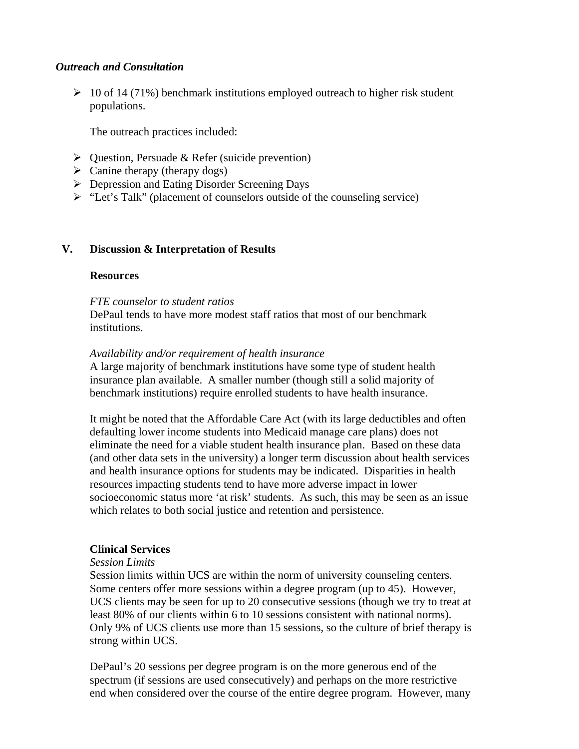#### *Outreach and Consultation*

 $\geq 10$  of 14 (71%) benchmark institutions employed outreach to higher risk student populations.

The outreach practices included:

- $\triangleright$  Question, Persuade & Refer (suicide prevention)
- $\triangleright$  Canine therapy (therapy dogs)
- ▶ Depression and Eating Disorder Screening Days
- "Let's Talk" (placement of counselors outside of the counseling service)

### **V. Discussion & Interpretation of Results**

#### **Resources**

#### *FTE counselor to student ratios*

DePaul tends to have more modest staff ratios that most of our benchmark institutions.

#### *Availability and/or requirement of health insurance*

A large majority of benchmark institutions have some type of student health insurance plan available. A smaller number (though still a solid majority of benchmark institutions) require enrolled students to have health insurance.

It might be noted that the Affordable Care Act (with its large deductibles and often defaulting lower income students into Medicaid manage care plans) does not eliminate the need for a viable student health insurance plan. Based on these data (and other data sets in the university) a longer term discussion about health services and health insurance options for students may be indicated. Disparities in health resources impacting students tend to have more adverse impact in lower socioeconomic status more 'at risk' students. As such, this may be seen as an issue which relates to both social justice and retention and persistence.

### **Clinical Services**

#### *Session Limits*

Session limits within UCS are within the norm of university counseling centers. Some centers offer more sessions within a degree program (up to 45). However, UCS clients may be seen for up to 20 consecutive sessions (though we try to treat at least 80% of our clients within 6 to 10 sessions consistent with national norms). Only 9% of UCS clients use more than 15 sessions, so the culture of brief therapy is strong within UCS.

DePaul's 20 sessions per degree program is on the more generous end of the spectrum (if sessions are used consecutively) and perhaps on the more restrictive end when considered over the course of the entire degree program. However, many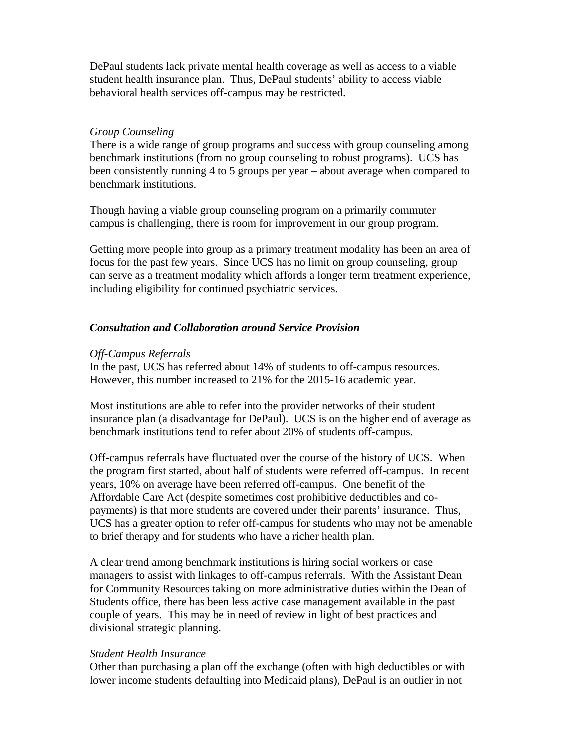DePaul students lack private mental health coverage as well as access to a viable student health insurance plan. Thus, DePaul students' ability to access viable behavioral health services off-campus may be restricted.

### *Group Counseling*

There is a wide range of group programs and success with group counseling among benchmark institutions (from no group counseling to robust programs). UCS has been consistently running 4 to 5 groups per year – about average when compared to benchmark institutions.

Though having a viable group counseling program on a primarily commuter campus is challenging, there is room for improvement in our group program.

Getting more people into group as a primary treatment modality has been an area of focus for the past few years. Since UCS has no limit on group counseling, group can serve as a treatment modality which affords a longer term treatment experience, including eligibility for continued psychiatric services.

## *Consultation and Collaboration around Service Provision*

### *Off-Campus Referrals*

In the past, UCS has referred about 14% of students to off-campus resources. However, this number increased to 21% for the 2015-16 academic year.

Most institutions are able to refer into the provider networks of their student insurance plan (a disadvantage for DePaul). UCS is on the higher end of average as benchmark institutions tend to refer about 20% of students off-campus.

Off-campus referrals have fluctuated over the course of the history of UCS. When the program first started, about half of students were referred off-campus. In recent years, 10% on average have been referred off-campus. One benefit of the Affordable Care Act (despite sometimes cost prohibitive deductibles and copayments) is that more students are covered under their parents' insurance. Thus, UCS has a greater option to refer off-campus for students who may not be amenable to brief therapy and for students who have a richer health plan.

A clear trend among benchmark institutions is hiring social workers or case managers to assist with linkages to off-campus referrals. With the Assistant Dean for Community Resources taking on more administrative duties within the Dean of Students office, there has been less active case management available in the past couple of years. This may be in need of review in light of best practices and divisional strategic planning.

### *Student Health Insurance*

Other than purchasing a plan off the exchange (often with high deductibles or with lower income students defaulting into Medicaid plans), DePaul is an outlier in not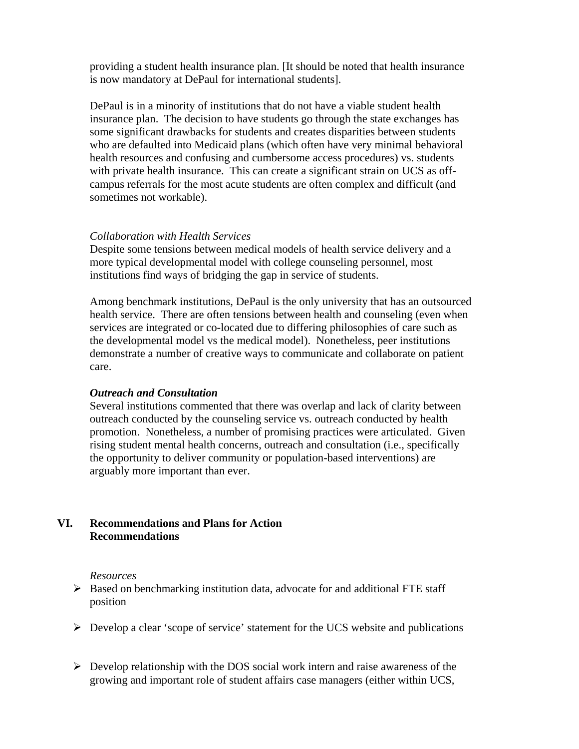providing a student health insurance plan. [It should be noted that health insurance is now mandatory at DePaul for international students].

DePaul is in a minority of institutions that do not have a viable student health insurance plan. The decision to have students go through the state exchanges has some significant drawbacks for students and creates disparities between students who are defaulted into Medicaid plans (which often have very minimal behavioral health resources and confusing and cumbersome access procedures) vs. students with private health insurance. This can create a significant strain on UCS as offcampus referrals for the most acute students are often complex and difficult (and sometimes not workable).

### *Collaboration with Health Services*

Despite some tensions between medical models of health service delivery and a more typical developmental model with college counseling personnel, most institutions find ways of bridging the gap in service of students.

Among benchmark institutions, DePaul is the only university that has an outsourced health service. There are often tensions between health and counseling (even when services are integrated or co-located due to differing philosophies of care such as the developmental model vs the medical model). Nonetheless, peer institutions demonstrate a number of creative ways to communicate and collaborate on patient care.

### *Outreach and Consultation*

Several institutions commented that there was overlap and lack of clarity between outreach conducted by the counseling service vs. outreach conducted by health promotion. Nonetheless, a number of promising practices were articulated. Given rising student mental health concerns, outreach and consultation (i.e., specifically the opportunity to deliver community or population-based interventions) are arguably more important than ever.

## **VI. Recommendations and Plans for Action Recommendations**

#### *Resources*

- $\triangleright$  Based on benchmarking institution data, advocate for and additional FTE staff position
- $\triangleright$  Develop a clear 'scope of service' statement for the UCS website and publications
- $\triangleright$  Develop relationship with the DOS social work intern and raise awareness of the growing and important role of student affairs case managers (either within UCS,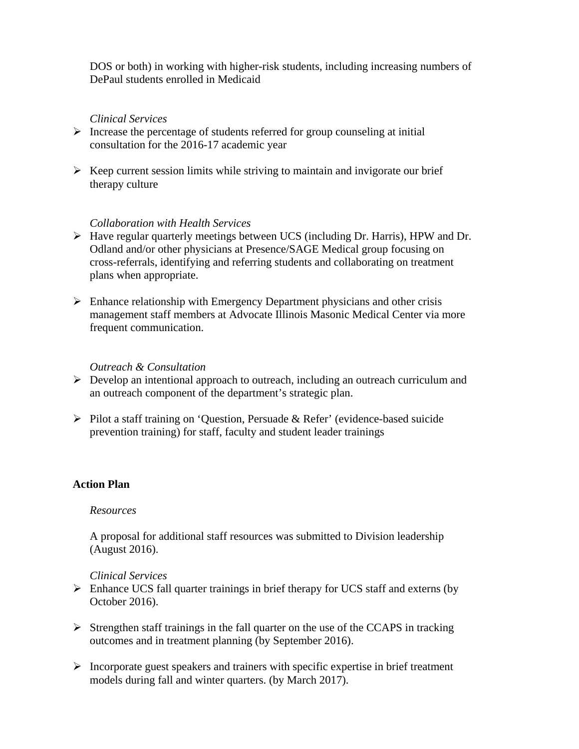DOS or both) in working with higher-risk students, including increasing numbers of DePaul students enrolled in Medicaid

### *Clinical Services*

- $\triangleright$  Increase the percentage of students referred for group counseling at initial consultation for the 2016-17 academic year
- $\triangleright$  Keep current session limits while striving to maintain and invigorate our brief therapy culture

#### *Collaboration with Health Services*

- Have regular quarterly meetings between UCS (including Dr. Harris), HPW and Dr. Odland and/or other physicians at Presence/SAGE Medical group focusing on cross-referrals, identifying and referring students and collaborating on treatment plans when appropriate.
- $\triangleright$  Enhance relationship with Emergency Department physicians and other crisis management staff members at Advocate Illinois Masonic Medical Center via more frequent communication.

#### *Outreach & Consultation*

- $\triangleright$  Develop an intentional approach to outreach, including an outreach curriculum and an outreach component of the department's strategic plan.
- $\triangleright$  Pilot a staff training on 'Question, Persuade & Refer' (evidence-based suicide prevention training) for staff, faculty and student leader trainings

## **Action Plan**

#### *Resources*

A proposal for additional staff resources was submitted to Division leadership (August 2016).

#### *Clinical Services*

- $\triangleright$  Enhance UCS fall quarter trainings in brief therapy for UCS staff and externs (by October 2016).
- $\triangleright$  Strengthen staff trainings in the fall quarter on the use of the CCAPS in tracking outcomes and in treatment planning (by September 2016).
- $\triangleright$  Incorporate guest speakers and trainers with specific expertise in brief treatment models during fall and winter quarters. (by March 2017).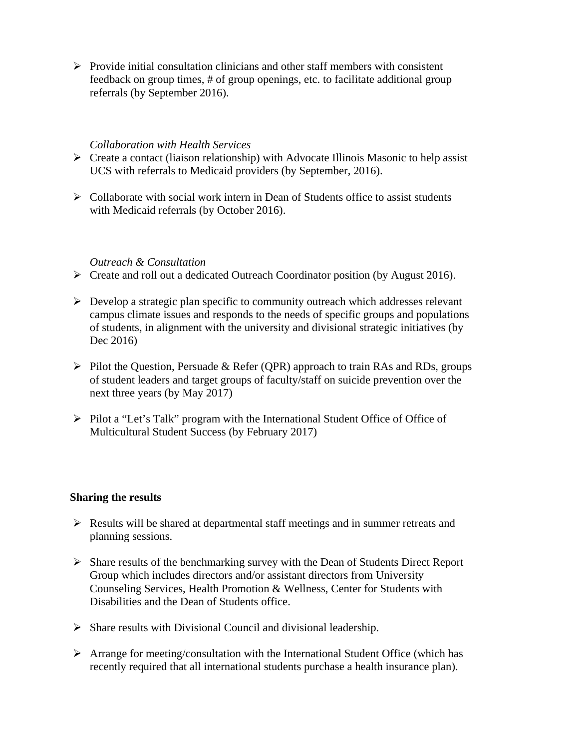$\triangleright$  Provide initial consultation clinicians and other staff members with consistent feedback on group times, # of group openings, etc. to facilitate additional group referrals (by September 2016).

#### *Collaboration with Health Services*

- $\triangleright$  Create a contact (liaison relationship) with Advocate Illinois Masonic to help assist UCS with referrals to Medicaid providers (by September, 2016).
- $\triangleright$  Collaborate with social work intern in Dean of Students office to assist students with Medicaid referrals (by October 2016).

### *Outreach & Consultation*

- Create and roll out a dedicated Outreach Coordinator position (by August 2016).
- $\triangleright$  Develop a strategic plan specific to community outreach which addresses relevant campus climate issues and responds to the needs of specific groups and populations of students, in alignment with the university and divisional strategic initiatives (by Dec 2016)
- $\triangleright$  Pilot the Question, Persuade & Refer (QPR) approach to train RAs and RDs, groups of student leaders and target groups of faculty/staff on suicide prevention over the next three years (by May 2017)
- Pilot a "Let's Talk" program with the International Student Office of Office of Multicultural Student Success (by February 2017)

#### **Sharing the results**

- $\triangleright$  Results will be shared at departmental staff meetings and in summer retreats and planning sessions.
- $\triangleright$  Share results of the benchmarking survey with the Dean of Students Direct Report Group which includes directors and/or assistant directors from University Counseling Services, Health Promotion & Wellness, Center for Students with Disabilities and the Dean of Students office.
- $\triangleright$  Share results with Divisional Council and divisional leadership.
- $\triangleright$  Arrange for meeting/consultation with the International Student Office (which has recently required that all international students purchase a health insurance plan).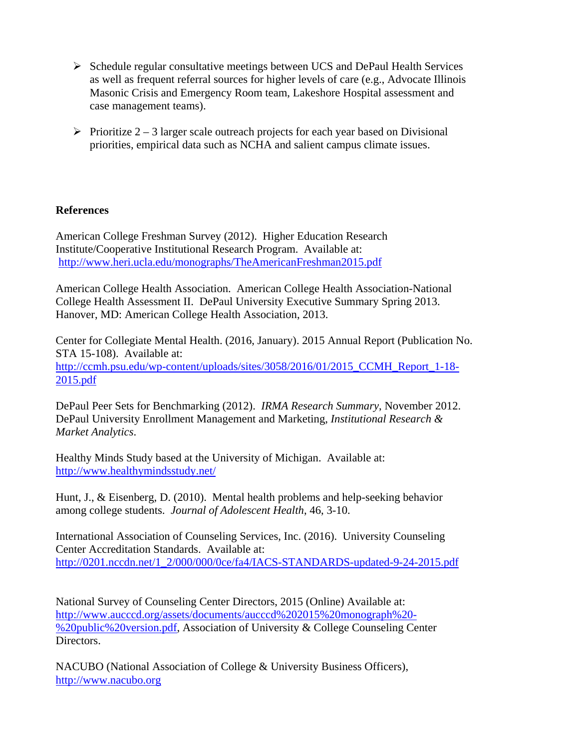- $\triangleright$  Schedule regular consultative meetings between UCS and DePaul Health Services as well as frequent referral sources for higher levels of care (e.g., Advocate Illinois Masonic Crisis and Emergency Room team, Lakeshore Hospital assessment and case management teams).
- $\triangleright$  Prioritize 2 3 larger scale outreach projects for each year based on Divisional priorities, empirical data such as NCHA and salient campus climate issues.

## **References**

American College Freshman Survey (2012). Higher Education Research Institute/Cooperative Institutional Research Program. Available at: http://www.heri.ucla.edu/monographs/TheAmericanFreshman2015.pdf

American College Health Association. American College Health Association-National College Health Assessment II. DePaul University Executive Summary Spring 2013. Hanover, MD: American College Health Association, 2013.

Center for Collegiate Mental Health. (2016, January). 2015 Annual Report (Publication No. STA 15-108). Available at: http://ccmh.psu.edu/wp-content/uploads/sites/3058/2016/01/2015 CCMH\_Report\_1-18-2015.pdf

DePaul Peer Sets for Benchmarking (2012). *IRMA Research Summary*, November 2012. DePaul University Enrollment Management and Marketing, *Institutional Research & Market Analytics*.

Healthy Minds Study based at the University of Michigan. Available at: http://www.healthymindsstudy.net/

Hunt, J., & Eisenberg, D. (2010). Mental health problems and help-seeking behavior among college students. *Journal of Adolescent Health*, 46, 3-10.

International Association of Counseling Services, Inc. (2016). University Counseling Center Accreditation Standards. Available at: http://0201.nccdn.net/1\_2/000/000/0ce/fa4/IACS-STANDARDS-updated-9-24-2015.pdf

National Survey of Counseling Center Directors, 2015 (Online) Available at: http://www.aucccd.org/assets/documents/aucccd%202015%20monograph%20- %20public%20version.pdf, Association of University & College Counseling Center Directors.

NACUBO (National Association of College & University Business Officers), http://www.nacubo.org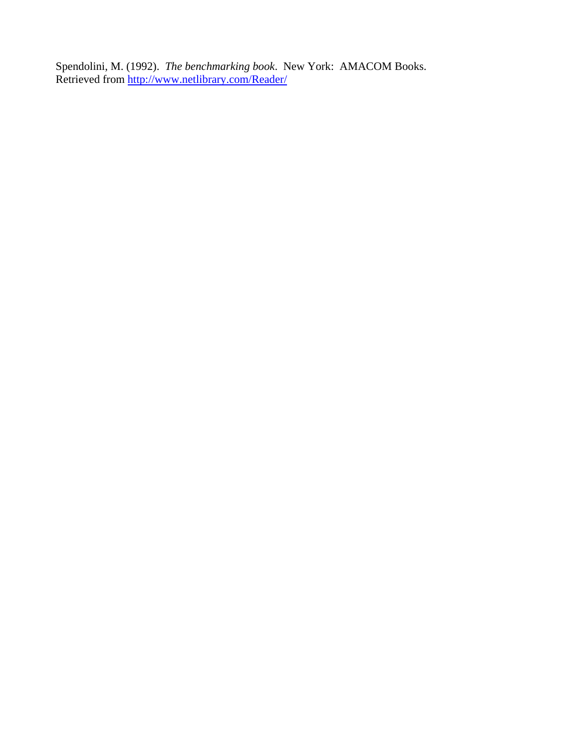Spendolini, M. (1992). *The benchmarking book*. New York: AMACOM Books. Retrieved from http://www.netlibrary.com/Reader/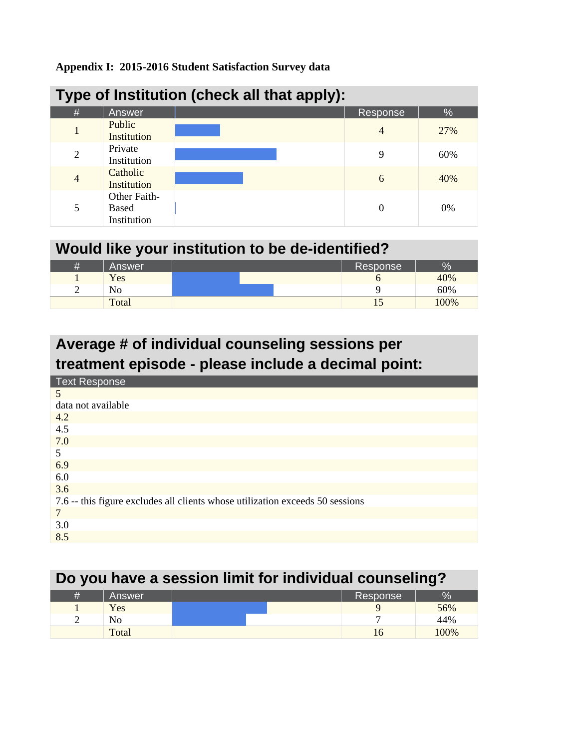## **Appendix I: 2015-2016 Student Satisfaction Survey data**

| Type of Institution (check all that apply): |                                             |  |          |      |  |  |
|---------------------------------------------|---------------------------------------------|--|----------|------|--|--|
| #                                           | Answer                                      |  | Response | $\%$ |  |  |
| 1                                           | Public<br>Institution                       |  | 4        | 27%  |  |  |
| $\overline{2}$                              | Private<br>Institution                      |  | 9        | 60%  |  |  |
| $\overline{4}$                              | Catholic<br>Institution                     |  | 6        | 40%  |  |  |
| 5                                           | Other Faith-<br><b>Based</b><br>Institution |  | 0        | 0%   |  |  |

| Would like your institution to be de-identified? |        |  |  |  |          |      |
|--------------------------------------------------|--------|--|--|--|----------|------|
| #                                                | Answer |  |  |  | Response | $\%$ |
|                                                  | Yes    |  |  |  |          | 40%  |
| $\gamma$                                         | No     |  |  |  |          | 60%  |
|                                                  | Total  |  |  |  |          | 100% |

# **Average # of individual counseling sessions per treatment episode - please include a decimal point:**

| <b>Text Response</b>                                                          |
|-------------------------------------------------------------------------------|
| 5                                                                             |
| data not available                                                            |
| 4.2                                                                           |
| 4.5                                                                           |
| 7.0                                                                           |
| 5                                                                             |
| 6.9                                                                           |
| 6.0                                                                           |
| 3.6                                                                           |
| 7.6 -- this figure excludes all clients whose utilization exceeds 50 sessions |
| 7                                                                             |
| 3.0                                                                           |
| 8.5                                                                           |

# **Do you have a session limit for individual counseling?**

|   | Answer |  | Response | æ   |
|---|--------|--|----------|-----|
|   | Yes    |  |          | 56% |
| - | No     |  |          | 44% |
|   | Total  |  |          | 00% |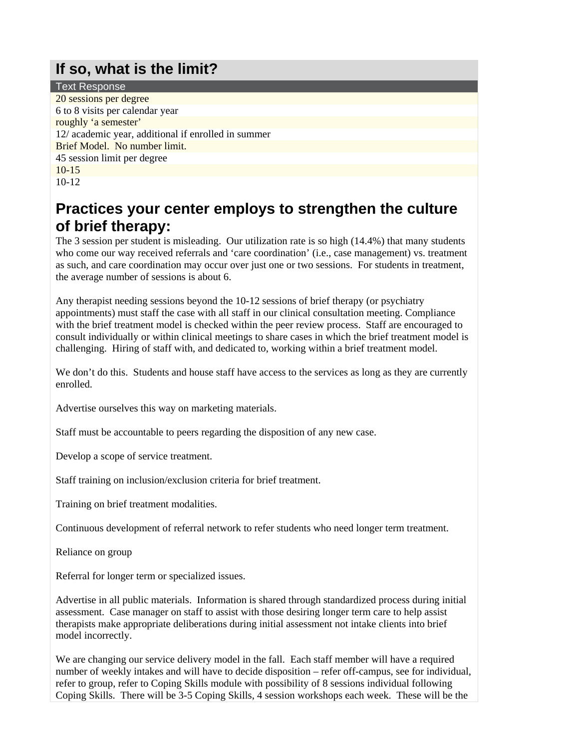## **If so, what is the limit?**

Text Response 20 sessions per degree 6 to 8 visits per calendar year roughly 'a semester' 12/ academic year, additional if enrolled in summer Brief Model. No number limit. 45 session limit per degree 10-15 10-12

## **Practices your center employs to strengthen the culture of brief therapy:**

The 3 session per student is misleading. Our utilization rate is so high (14.4%) that many students who come our way received referrals and 'care coordination' (i.e., case management) vs. treatment as such, and care coordination may occur over just one or two sessions. For students in treatment, the average number of sessions is about 6.

Any therapist needing sessions beyond the 10-12 sessions of brief therapy (or psychiatry appointments) must staff the case with all staff in our clinical consultation meeting. Compliance with the brief treatment model is checked within the peer review process. Staff are encouraged to consult individually or within clinical meetings to share cases in which the brief treatment model is challenging. Hiring of staff with, and dedicated to, working within a brief treatment model.

We don't do this. Students and house staff have access to the services as long as they are currently enrolled.

Advertise ourselves this way on marketing materials.

Staff must be accountable to peers regarding the disposition of any new case.

Develop a scope of service treatment.

Staff training on inclusion/exclusion criteria for brief treatment.

Training on brief treatment modalities.

Continuous development of referral network to refer students who need longer term treatment.

Reliance on group

Referral for longer term or specialized issues.

Advertise in all public materials. Information is shared through standardized process during initial assessment. Case manager on staff to assist with those desiring longer term care to help assist therapists make appropriate deliberations during initial assessment not intake clients into brief model incorrectly.

We are changing our service delivery model in the fall. Each staff member will have a required number of weekly intakes and will have to decide disposition – refer off-campus, see for individual, refer to group, refer to Coping Skills module with possibility of 8 sessions individual following Coping Skills. There will be 3-5 Coping Skills, 4 session workshops each week. These will be the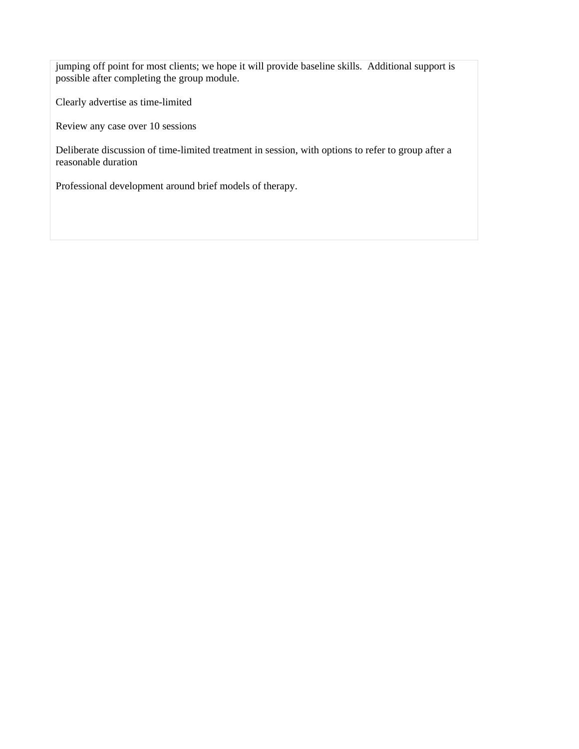jumping off point for most clients; we hope it will provide baseline skills. Additional support is possible after completing the group module.

Clearly advertise as time-limited

Review any case over 10 sessions

Deliberate discussion of time-limited treatment in session, with options to refer to group after a reasonable duration

Professional development around brief models of therapy.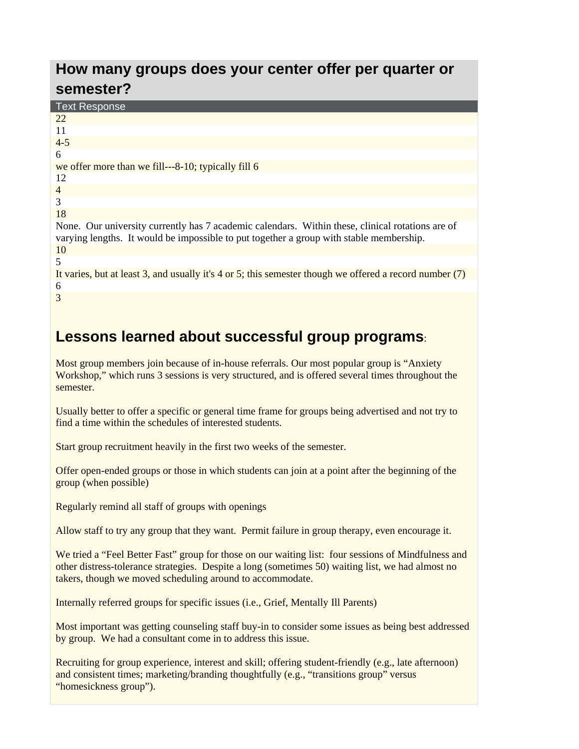## **How many groups does your center offer per quarter or semester?**

| <b>Text Response</b>                                                                                                                                                                        |
|---------------------------------------------------------------------------------------------------------------------------------------------------------------------------------------------|
| 22                                                                                                                                                                                          |
| 11                                                                                                                                                                                          |
| $4 - 5$                                                                                                                                                                                     |
| 6                                                                                                                                                                                           |
| we offer more than we fill—8-10; typically fill 6                                                                                                                                           |
| 12                                                                                                                                                                                          |
| $\overline{4}$                                                                                                                                                                              |
| 3                                                                                                                                                                                           |
| 18                                                                                                                                                                                          |
| None. Our university currently has 7 academic calendars. Within these, clinical rotations are of<br>varying lengths. It would be impossible to put together a group with stable membership. |
| 10                                                                                                                                                                                          |
| $\overline{\phantom{1}}$                                                                                                                                                                    |
| It varies, but at least 3, and usually it's 4 or 5; this semester though we offered a record number (7)                                                                                     |
| 6                                                                                                                                                                                           |
| 3                                                                                                                                                                                           |

## **Lessons learned about successful group programs**:

Most group members join because of in-house referrals. Our most popular group is "Anxiety Workshop," which runs 3 sessions is very structured, and is offered several times throughout the semester.

Usually better to offer a specific or general time frame for groups being advertised and not try to find a time within the schedules of interested students.

Start group recruitment heavily in the first two weeks of the semester.

Offer open-ended groups or those in which students can join at a point after the beginning of the group (when possible)

Regularly remind all staff of groups with openings

Allow staff to try any group that they want. Permit failure in group therapy, even encourage it.

We tried a "Feel Better Fast" group for those on our waiting list: four sessions of Mindfulness and other distress-tolerance strategies. Despite a long (sometimes 50) waiting list, we had almost no takers, though we moved scheduling around to accommodate.

Internally referred groups for specific issues (i.e., Grief, Mentally Ill Parents)

Most important was getting counseling staff buy-in to consider some issues as being best addressed by group. We had a consultant come in to address this issue.

Recruiting for group experience, interest and skill; offering student-friendly (e.g., late afternoon) and consistent times; marketing/branding thoughtfully (e.g., "transitions group" versus "homesickness group").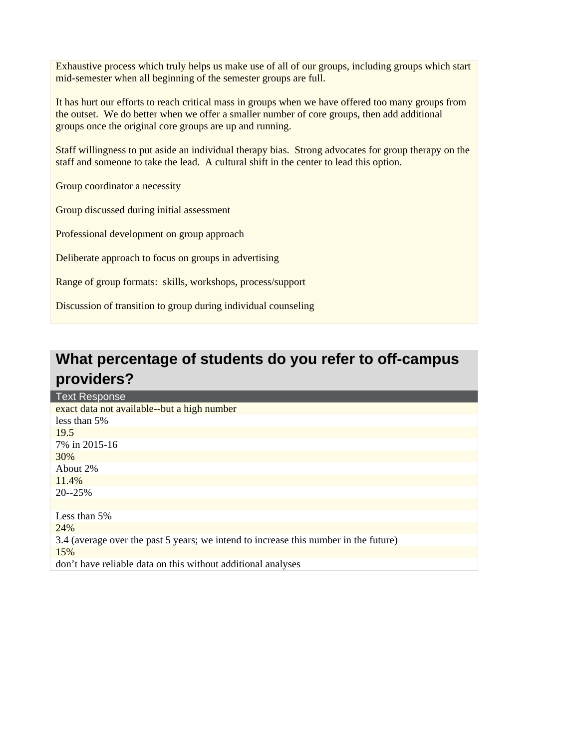Exhaustive process which truly helps us make use of all of our groups, including groups which start mid-semester when all beginning of the semester groups are full.

It has hurt our efforts to reach critical mass in groups when we have offered too many groups from the outset. We do better when we offer a smaller number of core groups, then add additional groups once the original core groups are up and running.

Staff willingness to put aside an individual therapy bias. Strong advocates for group therapy on the staff and someone to take the lead. A cultural shift in the center to lead this option.

Group coordinator a necessity

Group discussed during initial assessment

Professional development on group approach

Deliberate approach to focus on groups in advertising

Range of group formats: skills, workshops, process/support

Discussion of transition to group during individual counseling

## **What percentage of students do you refer to off-campus providers?**

| <b>Text Response</b>                                                                 |
|--------------------------------------------------------------------------------------|
| exact data not available--but a high number                                          |
| less than 5%                                                                         |
| 19.5                                                                                 |
| 7% in 2015-16                                                                        |
| 30%                                                                                  |
| About 2%                                                                             |
| 11.4%                                                                                |
| $20 - 25%$                                                                           |
|                                                                                      |
| Less than 5%                                                                         |
| 24%                                                                                  |
| 3.4 (average over the past 5 years; we intend to increase this number in the future) |
| 15%                                                                                  |
| don't have reliable data on this without additional analyses                         |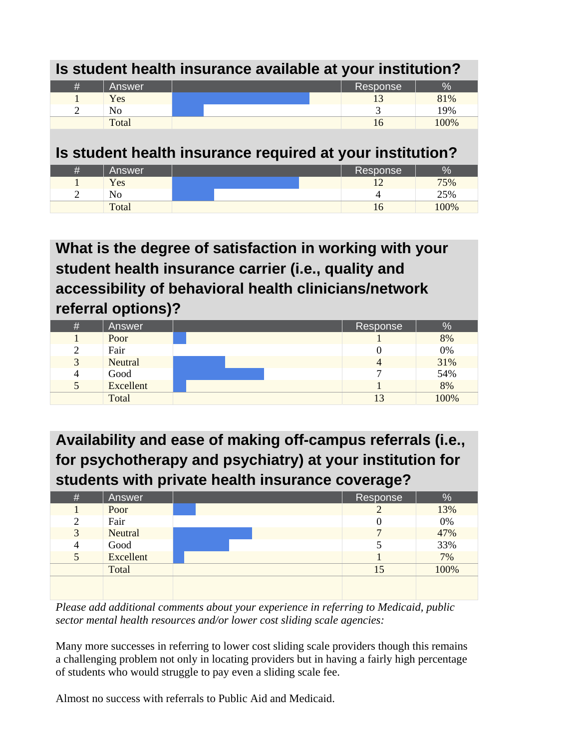| Is student health insurance available at your institution? |            |  |  |          |      |  |
|------------------------------------------------------------|------------|--|--|----------|------|--|
| #                                                          | Answer     |  |  | Response | %    |  |
|                                                            | <b>Yes</b> |  |  |          | 81%  |  |
| $\gamma$                                                   | No         |  |  |          | 19%  |  |
|                                                            | Total      |  |  | 16       | 100% |  |

## **Is student health insurance required at your institution?**

| Ħ | Answer | Response | Оz<br>Zσ |
|---|--------|----------|----------|
|   | Yes    |          | 75%      |
| ╭ | No     |          | 25%      |
|   | Total  |          | $00\%$   |

**What is the degree of satisfaction in working with your student health insurance carrier (i.e., quality and accessibility of behavioral health clinicians/network referral options)?** 

| #                  | Answer    | Response | $\frac{1}{2}$ |
|--------------------|-----------|----------|---------------|
|                    | Poor      |          | 8%            |
| $\mathcal{D}$<br>∠ | Fair      |          | 0%            |
| 3                  | Neutral   |          | 31%           |
| 4                  | Good      |          | 54%           |
| $\mathcal{L}$      | Excellent |          | 8%            |
|                    | Total     |          | 100%          |

**Availability and ease of making off-campus referrals (i.e., for psychotherapy and psychiatry) at your institution for students with private health insurance coverage?** 

| # | Answer    | Response | %     |
|---|-----------|----------|-------|
|   | Poor      |          | 13%   |
| 2 | Fair      |          | $0\%$ |
| 3 | Neutral   |          | 47%   |
| 4 | Good      |          | 33%   |
| 5 | Excellent |          | 7%    |
|   | Total     | 15       | 100%  |
|   |           |          |       |
|   |           |          |       |

*Please add additional comments about your experience in referring to Medicaid, public sector mental health resources and/or lower cost sliding scale agencies:* 

Many more successes in referring to lower cost sliding scale providers though this remains a challenging problem not only in locating providers but in having a fairly high percentage of students who would struggle to pay even a sliding scale fee.

Almost no success with referrals to Public Aid and Medicaid.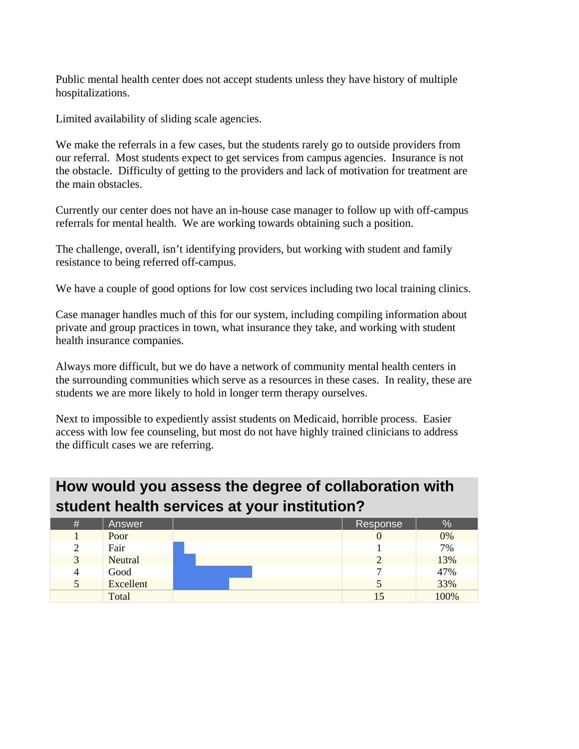Public mental health center does not accept students unless they have history of multiple hospitalizations.

Limited availability of sliding scale agencies.

We make the referrals in a few cases, but the students rarely go to outside providers from our referral. Most students expect to get services from campus agencies. Insurance is not the obstacle. Difficulty of getting to the providers and lack of motivation for treatment are the main obstacles.

Currently our center does not have an in-house case manager to follow up with off-campus referrals for mental health. We are working towards obtaining such a position.

The challenge, overall, isn't identifying providers, but working with student and family resistance to being referred off-campus.

We have a couple of good options for low cost services including two local training clinics.

Case manager handles much of this for our system, including compiling information about private and group practices in town, what insurance they take, and working with student health insurance companies.

Always more difficult, but we do have a network of community mental health centers in the surrounding communities which serve as a resources in these cases. In reality, these are students we are more likely to hold in longer term therapy ourselves.

Next to impossible to expediently assist students on Medicaid, horrible process. Easier access with low fee counseling, but most do not have highly trained clinicians to address the difficult cases we are referring.

## **How would you assess the degree of collaboration with student health services at your institution?**

| $\#$               | Answer    | Response | %    |
|--------------------|-----------|----------|------|
|                    | Poor      |          | 0%   |
| $\mathcal{D}$<br>∠ | Fair      |          | 7%   |
| 3                  | Neutral   |          | 13%  |
| 4                  | Good      |          | 47%  |
| 5                  | Excellent |          | 33%  |
|                    | Total     |          | 100% |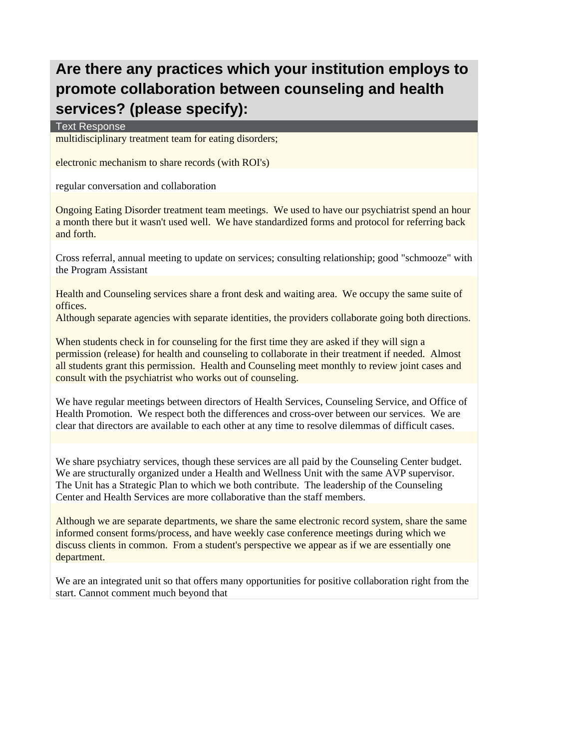# **Are there any practices which your institution employs to promote collaboration between counseling and health services? (please specify):**

Text Response

multidisciplinary treatment team for eating disorders;

electronic mechanism to share records (with ROI's)

regular conversation and collaboration

Ongoing Eating Disorder treatment team meetings. We used to have our psychiatrist spend an hour a month there but it wasn't used well. We have standardized forms and protocol for referring back and forth.

Cross referral, annual meeting to update on services; consulting relationship; good "schmooze" with the Program Assistant

Health and Counseling services share a front desk and waiting area. We occupy the same suite of offices.

Although separate agencies with separate identities, the providers collaborate going both directions.

When students check in for counseling for the first time they are asked if they will sign a permission (release) for health and counseling to collaborate in their treatment if needed. Almost all students grant this permission. Health and Counseling meet monthly to review joint cases and consult with the psychiatrist who works out of counseling.

We have regular meetings between directors of Health Services, Counseling Service, and Office of Health Promotion. We respect both the differences and cross-over between our services. We are clear that directors are available to each other at any time to resolve dilemmas of difficult cases.

We share psychiatry services, though these services are all paid by the Counseling Center budget. We are structurally organized under a Health and Wellness Unit with the same AVP supervisor. The Unit has a Strategic Plan to which we both contribute. The leadership of the Counseling Center and Health Services are more collaborative than the staff members.

Although we are separate departments, we share the same electronic record system, share the same informed consent forms/process, and have weekly case conference meetings during which we discuss clients in common. From a student's perspective we appear as if we are essentially one department.

We are an integrated unit so that offers many opportunities for positive collaboration right from the start. Cannot comment much beyond that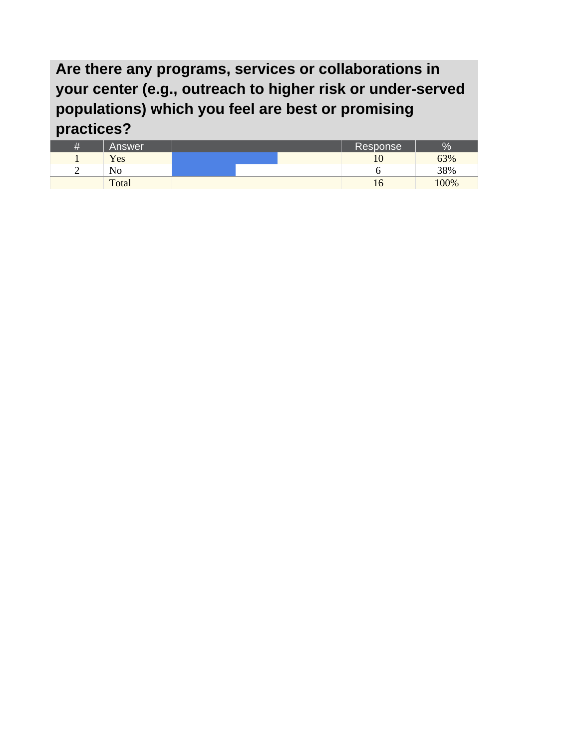**Are there any programs, services or collaborations in your center (e.g., outreach to higher risk or under-served populations) which you feel are best or promising practices?** 

| __     |        |  |              |      |
|--------|--------|--|--------------|------|
| 4      | Answer |  | Response     | $\%$ |
|        | Yes    |  | ιυ           | 63%  |
| ⌒<br>∽ | NO     |  |              | 38%  |
|        | Total  |  | $10^{\circ}$ | 00%  |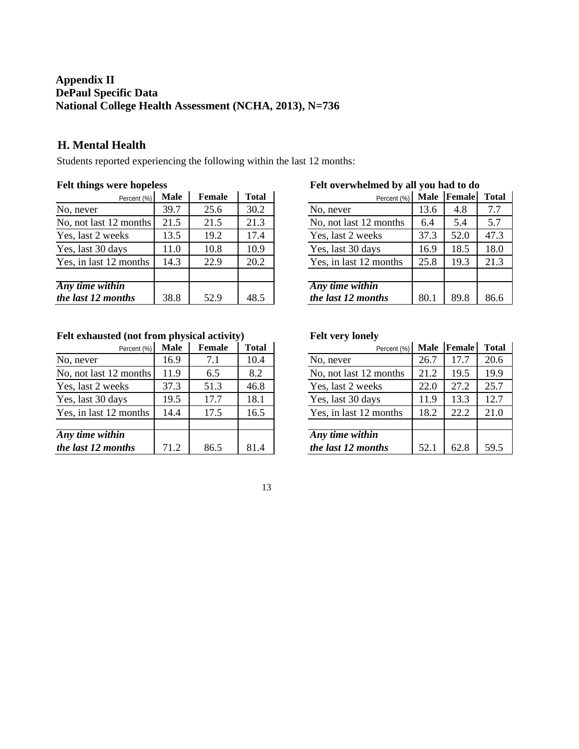## **Appendix II DePaul Specific Data National College Health Assessment (NCHA, 2013), N=736**

### **H. Mental Health**

Students reported experiencing the following within the last 12 months:

#### **Felt things were hopeless**

| Percent (%)            | <b>Male</b> | <b>Female</b> | <b>Total</b> |
|------------------------|-------------|---------------|--------------|
| No, never              | 39.7        | 25.6          | 30.2         |
| No, not last 12 months | 21.5        | 21.5          | 21.3         |
| Yes, last 2 weeks      | 13.5        | 19.2          | 17.4         |
| Yes, last 30 days      | 11.0        | 10.8          | 10.9         |
| Yes, in last 12 months | 14.3        | 22.9          | 20.2         |
|                        |             |               |              |
| Any time within        |             |               |              |
| the last 12 months     | 38.8        | 52.9          | 48.5         |

## Percent (%) **Male Female Total** No, never 13.6 4.8 7.7 No, not last 12 months | 6.4 | 5.4 | 5.7 Yes, last 2 weeks 37.3 52.0 47.3 Yes, last 30 days 16.9 18.5 18.0

#### **Felt overwhelmed by all you had to do**

| $1 \cup 1 \cup 11111110111$ |      |      |      |
|-----------------------------|------|------|------|
| No, never                   | 13.6 | 4.8  | 7.7  |
| No, not last 12 months      | 6.4  | 5.4  | 5.7  |
| Yes, last 2 weeks           | 37.3 | 52.0 | 47.3 |
| Yes, last 30 days           | 16.9 | 18.5 | 18.0 |
| Yes, in last 12 months      | 25.8 | 19.3 | 21.3 |
|                             |      |      |      |
| Any time within             |      |      |      |
| the last 12 months          | 80.1 | 89.8 | 86.6 |

## **Felt exhausted (not from physical activity)**

| Felt exhausted (not from physical activity) |             |               |              |  |
|---------------------------------------------|-------------|---------------|--------------|--|
| Percent (%)                                 | <b>Male</b> | <b>Female</b> | <b>Total</b> |  |
| No, never                                   | 16.9        | 7.1           | 10.4         |  |
| No, not last 12 months                      | 11.9        | 6.5           | 8.2          |  |
| Yes, last 2 weeks                           | 37.3        | 51.3          | 46.8         |  |
| Yes, last 30 days                           | 19.5        | 17.7          | 18.1         |  |
| Yes, in last 12 months                      | 14.4        | 17.5          | 16.5         |  |
|                                             |             |               |              |  |
| Any time within<br>the last 12 months       | 712         | 86.5          | 814          |  |

#### **Felt very lonely**

| Percent (%)            | <b>Male</b> | <b>Female</b> | Total |
|------------------------|-------------|---------------|-------|
| No, never              | 26.7        | 17.7          | 20.6  |
| No, not last 12 months | 21.2        | 19.5          | 19.9  |
| Yes, last 2 weeks      | 22.0        | 27.2          | 25.7  |
| Yes, last 30 days      | 11.9        | 13.3          | 12.7  |
| Yes, in last 12 months | 18.2        | 22.2          | 21.0  |
|                        |             |               |       |
| Any time within        |             |               |       |
| the last 12 months     | 52.1        | 62.8          | 59.5  |

#### 13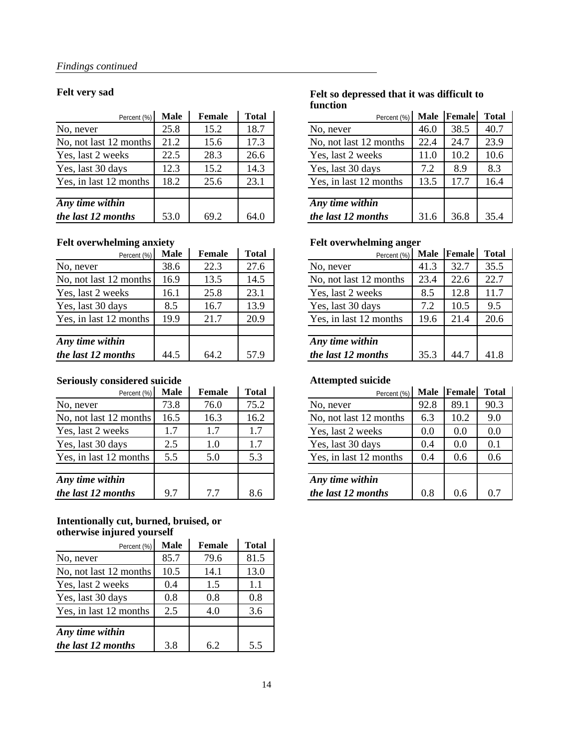#### **Felt very sad**

| Percent (%)            | Male | Female | <b>Total</b> |
|------------------------|------|--------|--------------|
| No, never              | 25.8 | 15.2   | 18.7         |
| No, not last 12 months | 21.2 | 15.6   | 17.3         |
| Yes, last 2 weeks      | 22.5 | 28.3   | 26.6         |
| Yes, last 30 days      | 12.3 | 15.2   | 14.3         |
| Yes, in last 12 months | 18.2 | 25.6   | 23.1         |
|                        |      |        |              |
| Any time within        |      |        |              |
| the last 12 months     | 53.0 | 69.2   | 64.0         |

### **Felt overwhelming anxiety**

| Percent (%)            | <b>Male</b> | <b>Female</b> | <b>Total</b> |
|------------------------|-------------|---------------|--------------|
| No, never              | 38.6        | 22.3          | 27.6         |
| No, not last 12 months | 16.9        | 13.5          | 14.5         |
| Yes, last 2 weeks      | 16.1        | 25.8          | 23.1         |
| Yes, last 30 days      | 8.5         | 16.7          | 13.9         |
| Yes, in last 12 months | 19.9        | 21.7          | 20.9         |
|                        |             |               |              |
| Any time within        |             |               |              |
| the last 12 months     | 44.5        | 64.2          | 57.9         |

### **Seriously considered suicide**

| Percent (%)            | Male | Female | <b>Total</b> |
|------------------------|------|--------|--------------|
| No, never              | 73.8 | 76.0   | 75.2         |
| No, not last 12 months | 16.5 | 16.3   | 16.2         |
| Yes, last 2 weeks      | 1.7  | 1.7    | 1.7          |
| Yes, last 30 days      | 2.5  | 1.0    | 1.7          |
| Yes, in last 12 months | 5.5  | 5.0    | 5.3          |
| Any time within        |      |        |              |
|                        |      |        |              |
| the last 12 months     | 9.7  | 7.7    | 8.6          |

#### **Intentionally cut, burned, bruised, or otherwise injured yourself** l.

| $\sigma$ and $\sigma$ is a set $\sigma$ $\sigma$ $\sigma$ $\sigma$ $\sigma$ |             |               |              |  |  |
|-----------------------------------------------------------------------------|-------------|---------------|--------------|--|--|
| Percent (%)                                                                 | <b>Male</b> | <b>Female</b> | <b>Total</b> |  |  |
| No, never                                                                   | 85.7        | 79.6          | 81.5         |  |  |
| No, not last 12 months                                                      | 10.5        | 14.1          | 13.0         |  |  |
| Yes, last 2 weeks                                                           | 0.4         | 1.5           | 1.1          |  |  |
| Yes, last 30 days                                                           | 0.8         | 0.8           | 0.8          |  |  |
| Yes, in last 12 months                                                      | 2.5         | 4.0           | 3.6          |  |  |
|                                                                             |             |               |              |  |  |
| Any time within                                                             |             |               |              |  |  |
| the last 12 months                                                          | 3.8         | 62            | 5.5          |  |  |

#### **Felt so depressed that it was difficult to function**

| Percent (%)            | <b>Male</b> | Female | <b>Total</b> |
|------------------------|-------------|--------|--------------|
| No, never              | 46.0        | 38.5   | 40.7         |
| No, not last 12 months | 22.4        | 24.7   | 23.9         |
| Yes, last 2 weeks      | 11.0        | 10.2   | 10.6         |
| Yes, last 30 days      | 7.2         | 8.9    | 8.3          |
| Yes, in last 12 months | 13.5        | 17.7   | 16.4         |
|                        |             |        |              |
| Any time within        |             |        |              |
| the last 12 months     | 31.6        | 36.8   | 35.4         |

#### **Felt overwhelming anger**

| T CIU OVCI WHCHHHIE AHECI |             |        |              |  |
|---------------------------|-------------|--------|--------------|--|
| Percent (%)               | <b>Male</b> | Female | <b>Total</b> |  |
| No, never                 | 41.3        | 32.7   | 35.5         |  |
| No, not last 12 months    | 23.4        | 22.6   | 22.7         |  |
| Yes, last 2 weeks         | 8.5         | 12.8   | 11.7         |  |
| Yes, last 30 days         | 7.2         | 10.5   | 9.5          |  |
| Yes, in last 12 months    | 19.6        | 21.4   | 20.6         |  |
|                           |             |        |              |  |
| Any time within           |             |        |              |  |
| the last 12 months        | 35.3        | 44 7   | 41.8         |  |

#### **Attempted suicide**

| Percent (%)            | <b>Male</b> | <b>Female</b> | <b>Total</b> |
|------------------------|-------------|---------------|--------------|
| No, never              | 92.8        | 89.1          | 90.3         |
| No, not last 12 months | 6.3         | 10.2          | 9.0          |
| Yes, last 2 weeks      | 0.0         | 0.0           | 0.0          |
| Yes, last 30 days      | 0.4         | 0.0           | 0.1          |
| Yes, in last 12 months | 0.4         | 0.6           | 0.6          |
|                        |             |               |              |
| Any time within        |             |               |              |
| the last 12 months     | 0.8         | 0 6           |              |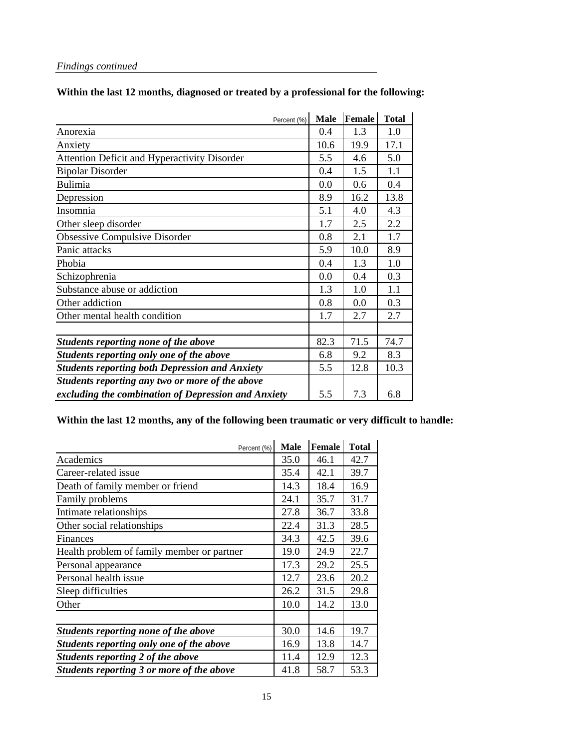## *Findings continued*

| Percent (%)                                           | <b>Male</b> | <b>Female</b> | <b>Total</b> |
|-------------------------------------------------------|-------------|---------------|--------------|
| Anorexia                                              | 0.4         | 1.3           | 1.0          |
| Anxiety                                               | 10.6        | 19.9          | 17.1         |
| <b>Attention Deficit and Hyperactivity Disorder</b>   | 5.5         | 4.6           | 5.0          |
| <b>Bipolar Disorder</b>                               | 0.4         | 1.5           | 1.1          |
| Bulimia                                               | 0.0         | 0.6           | 0.4          |
| Depression                                            | 8.9         | 16.2          | 13.8         |
| Insomnia                                              | 5.1         | 4.0           | 4.3          |
| Other sleep disorder                                  | 1.7         | 2.5           | 2.2          |
| <b>Obsessive Compulsive Disorder</b>                  | 0.8         | 2.1           | 1.7          |
| Panic attacks                                         | 5.9         | 10.0          | 8.9          |
| Phobia                                                | 0.4         | 1.3           | 1.0          |
| Schizophrenia                                         | 0.0         | 0.4           | 0.3          |
| Substance abuse or addiction                          | 1.3         | 1.0           | 1.1          |
| Other addiction                                       | 0.8         | 0.0           | 0.3          |
| Other mental health condition                         | 1.7         | 2.7           | 2.7          |
|                                                       |             |               |              |
| Students reporting none of the above                  | 82.3        | 71.5          | 74.7         |
| Students reporting only one of the above              | 6.8         | 9.2           | 8.3          |
| <b>Students reporting both Depression and Anxiety</b> | 5.5         | 12.8          | 10.3         |
| Students reporting any two or more of the above       |             |               |              |
| excluding the combination of Depression and Anxiety   | 5.5         | 7.3           | 6.8          |

## **Within the last 12 months, any of the following been traumatic or very difficult to handle:**

| Percent (%)                                | <b>Male</b> | Female | <b>Total</b> |
|--------------------------------------------|-------------|--------|--------------|
| Academics                                  | 35.0        | 46.1   | 42.7         |
| Career-related issue                       | 35.4        | 42.1   | 39.7         |
| Death of family member or friend           | 14.3        | 18.4   | 16.9         |
| Family problems                            | 24.1        | 35.7   | 31.7         |
| Intimate relationships                     | 27.8        | 36.7   | 33.8         |
| Other social relationships                 | 22.4        | 31.3   | 28.5         |
| Finances                                   | 34.3        | 42.5   | 39.6         |
| Health problem of family member or partner | 19.0        | 24.9   | 22.7         |
| Personal appearance                        | 17.3        | 29.2   | 25.5         |
| Personal health issue                      | 12.7        | 23.6   | 20.2         |
| Sleep difficulties                         | 26.2        | 31.5   | 29.8         |
| Other                                      | 10.0        | 14.2   | 13.0         |
|                                            |             |        |              |
| Students reporting none of the above       | 30.0        | 14.6   | 19.7         |
| Students reporting only one of the above   | 16.9        | 13.8   | 14.7         |
| Students reporting 2 of the above          | 11.4        | 12.9   | 12.3         |
| Students reporting 3 or more of the above  | 41.8        | 58.7   | 53.3         |